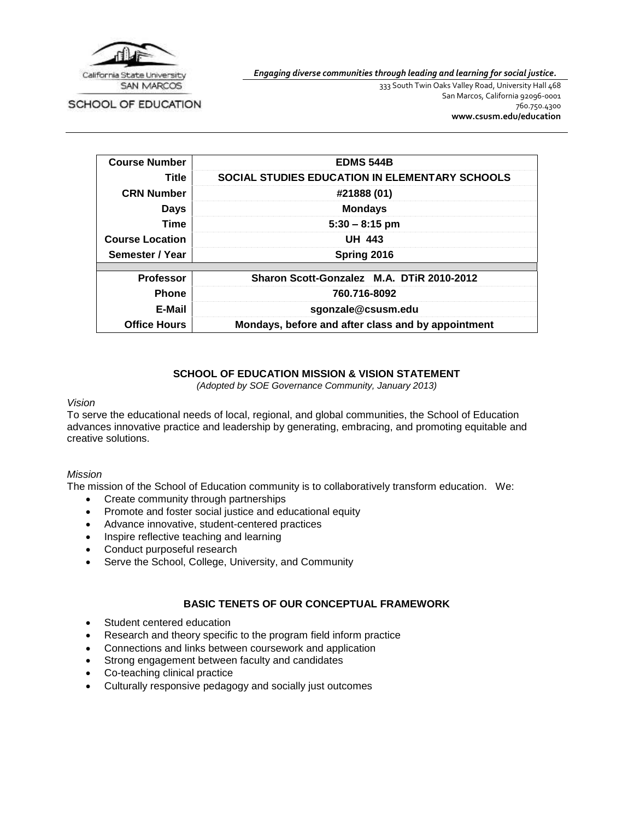

*Engaging diverse communities through leading and learning for social justice.*

SCHOOL OF EDUCATION

333 South Twin Oaks Valley Road, University Hall 468 San Marcos, California 92096-0001 760.750.4300 **[www.csusm.edu/education](http://www.csusm.edu/education)**

| <b>Course Number</b>   | <b>EDMS 544B</b>                                      |  |  |
|------------------------|-------------------------------------------------------|--|--|
| Title                  | <b>SOCIAL STUDIES EDUCATION IN ELEMENTARY SCHOOLS</b> |  |  |
| <b>CRN Number</b>      | #21888 (01)                                           |  |  |
| <b>Days</b>            | <b>Mondays</b>                                        |  |  |
| Time                   | $5:30 - 8:15$ pm                                      |  |  |
| <b>Course Location</b> | <b>UH 443</b>                                         |  |  |
| Semester / Year        | Spring 2016                                           |  |  |
| <b>Professor</b>       | Sharon Scott-Gonzalez M.A. DTiR 2010-2012             |  |  |
| <b>Phone</b>           | 760.716-8092                                          |  |  |
| E-Mail                 | sgonzale@csusm.edu                                    |  |  |
| <b>Office Hours</b>    | Mondays, before and after class and by appointment    |  |  |

#### **SCHOOL OF EDUCATION MISSION & VISION STATEMENT**

*(Adopted by SOE Governance Community, January 2013)*

#### *Vision*

To serve the educational needs of local, regional, and global communities, the School of Education advances innovative practice and leadership by generating, embracing, and promoting equitable and creative solutions.

#### *Mission*

The mission of the School of Education community is to collaboratively transform education. We:

- Create community through partnerships
- Promote and foster social justice and educational equity
- Advance innovative, student-centered practices
- Inspire reflective teaching and learning
- Conduct purposeful research
- Serve the School, College, University, and Community

#### **BASIC TENETS OF OUR CONCEPTUAL FRAMEWORK**

- Student centered education
- Research and theory specific to the program field inform practice
- Connections and links between coursework and application
- Strong engagement between faculty and candidates
- Co-teaching clinical practice
- Culturally responsive pedagogy and socially just outcomes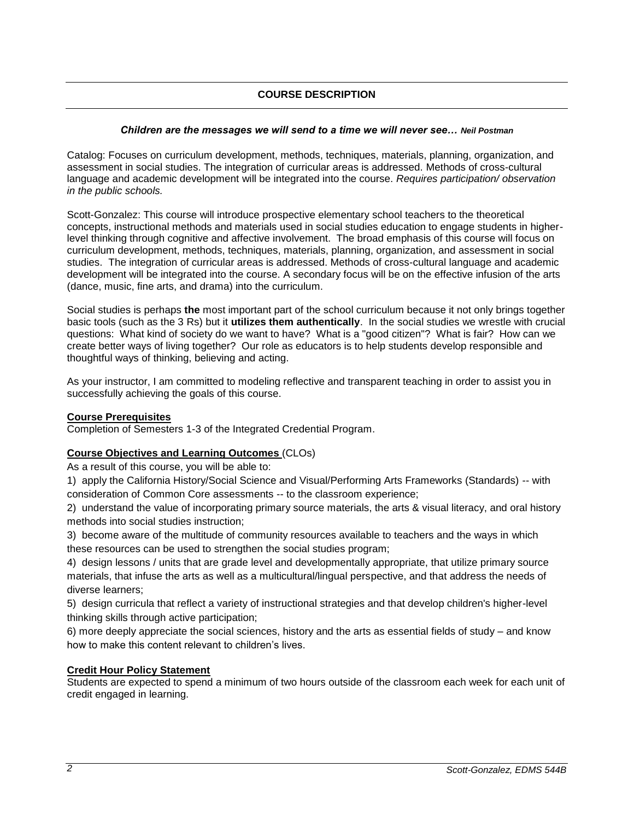# **COURSE DESCRIPTION**

#### *Children are the messages we will send to a time we will never see… Neil Postman*

Catalog: Focuses on curriculum development, methods, techniques, materials, planning, organization, and assessment in social studies. The integration of curricular areas is addressed. Methods of cross-cultural language and academic development will be integrated into the course. *Requires participation/ observation in the public schools.*

Scott-Gonzalez: This course will introduce prospective elementary school teachers to the theoretical concepts, instructional methods and materials used in social studies education to engage students in higherlevel thinking through cognitive and affective involvement. The broad emphasis of this course will focus on curriculum development, methods, techniques, materials, planning, organization, and assessment in social studies. The integration of curricular areas is addressed. Methods of cross-cultural language and academic development will be integrated into the course. A secondary focus will be on the effective infusion of the arts (dance, music, fine arts, and drama) into the curriculum.

Social studies is perhaps **the** most important part of the school curriculum because it not only brings together basic tools (such as the 3 Rs) but it **utilizes them authentically**. In the social studies we wrestle with crucial questions: What kind of society do we want to have? What is a "good citizen"? What is fair? How can we create better ways of living together? Our role as educators is to help students develop responsible and thoughtful ways of thinking, believing and acting.

As your instructor, I am committed to modeling reflective and transparent teaching in order to assist you in successfully achieving the goals of this course.

#### **Course Prerequisites**

Completion of Semesters 1-3 of the Integrated Credential Program.

#### **Course Objectives and Learning Outcomes** (CLOs)

As a result of this course, you will be able to:

1) apply the California History/Social Science and Visual/Performing Arts Frameworks (Standards) -- with consideration of Common Core assessments -- to the classroom experience;

2) understand the value of incorporating primary source materials, the arts & visual literacy, and oral history methods into social studies instruction;

3) become aware of the multitude of community resources available to teachers and the ways in which these resources can be used to strengthen the social studies program;

4) design lessons / units that are grade level and developmentally appropriate, that utilize primary source materials, that infuse the arts as well as a multicultural/lingual perspective, and that address the needs of diverse learners;

5) design curricula that reflect a variety of instructional strategies and that develop children's higher-level thinking skills through active participation;

6) more deeply appreciate the social sciences, history and the arts as essential fields of study – and know how to make this content relevant to children's lives.

#### **Credit Hour Policy Statement**

Students are expected to spend a minimum of two hours outside of the classroom each week for each unit of credit engaged in learning.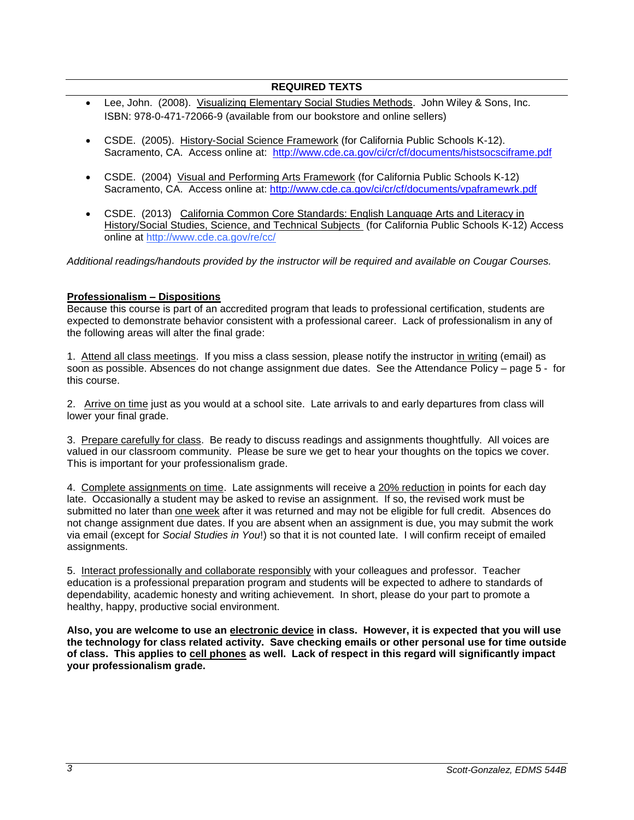### **REQUIRED TEXTS**

- Lee, John. (2008). Visualizing Elementary Social Studies Methods. John Wiley & Sons, Inc. ISBN: 978-0-471-72066-9 (available from our bookstore and online sellers)
- CSDE. (2005). History-Social Science Framework (for California Public Schools K-12). Sacramento, CA. Access online at: <http://www.cde.ca.gov/ci/cr/cf/documents/histsocsciframe.pdf>
- CSDE. (2004) Visual and Performing Arts Framework (for California Public Schools K-12) Sacramento, CA. Access online at:<http://www.cde.ca.gov/ci/cr/cf/documents/vpaframewrk.pdf>
- CSDE. (2013) California Common Core Standards: English Language Arts and Literacy in History/Social Studies, Science, and Technical Subjects (for California Public Schools K-12) Access online at<http://www.cde.ca.gov/re/cc/>

*Additional readings/handouts provided by the instructor will be required and available on Cougar Courses.*

#### **Professionalism – Dispositions**

Because this course is part of an accredited program that leads to professional certification, students are expected to demonstrate behavior consistent with a professional career. Lack of professionalism in any of the following areas will alter the final grade:

1. Attend all class meetings. If you miss a class session, please notify the instructor in writing (email) as soon as possible. Absences do not change assignment due dates. See the Attendance Policy – page 5 - for this course.

2. Arrive on time just as you would at a school site. Late arrivals to and early departures from class will lower your final grade.

3. Prepare carefully for class. Be ready to discuss readings and assignments thoughtfully. All voices are valued in our classroom community. Please be sure we get to hear your thoughts on the topics we cover. This is important for your professionalism grade.

4. Complete assignments on time. Late assignments will receive a 20% reduction in points for each day late. Occasionally a student may be asked to revise an assignment. If so, the revised work must be submitted no later than one week after it was returned and may not be eligible for full credit. Absences do not change assignment due dates. If you are absent when an assignment is due, you may submit the work via email (except for *Social Studies in You*!) so that it is not counted late. I will confirm receipt of emailed assignments.

5. Interact professionally and collaborate responsibly with your colleagues and professor. Teacher education is a professional preparation program and students will be expected to adhere to standards of dependability, academic honesty and writing achievement. In short, please do your part to promote a healthy, happy, productive social environment.

**Also, you are welcome to use an electronic device in class. However, it is expected that you will use the technology for class related activity. Save checking emails or other personal use for time outside of class. This applies to cell phones as well. Lack of respect in this regard will significantly impact your professionalism grade.**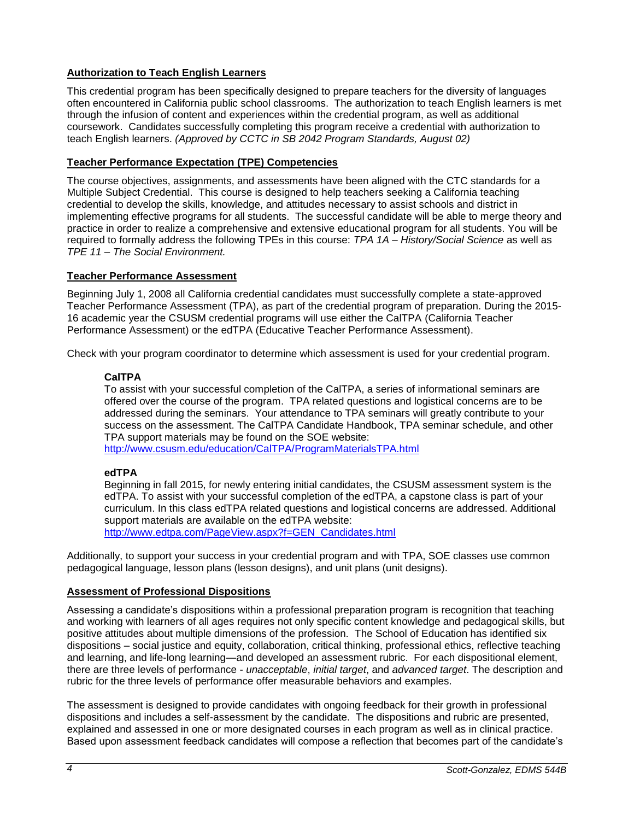## **Authorization to Teach English Learners**

This credential program has been specifically designed to prepare teachers for the diversity of languages often encountered in California public school classrooms. The authorization to teach English learners is met through the infusion of content and experiences within the credential program, as well as additional coursework. Candidates successfully completing this program receive a credential with authorization to teach English learners. *(Approved by CCTC in SB 2042 Program Standards, August 02)*

### **Teacher Performance Expectation (TPE) Competencies**

The course objectives, assignments, and assessments have been aligned with the CTC standards for a Multiple Subject Credential. This course is designed to help teachers seeking a California teaching credential to develop the skills, knowledge, and attitudes necessary to assist schools and district in implementing effective programs for all students. The successful candidate will be able to merge theory and practice in order to realize a comprehensive and extensive educational program for all students. You will be required to formally address the following TPEs in this course: *TPA 1A – History/Social Science* as well as *TPE 11 – The Social Environment.*

#### **Teacher Performance Assessment**

Beginning July 1, 2008 all California credential candidates must successfully complete a state-approved Teacher Performance Assessment (TPA), as part of the credential program of preparation. During the 2015- 16 academic year the CSUSM credential programs will use either the CalTPA (California Teacher Performance Assessment) or the edTPA (Educative Teacher Performance Assessment).

Check with your program coordinator to determine which assessment is used for your credential program.

#### **CalTPA**

To assist with your successful completion of the CalTPA, a series of informational seminars are offered over the course of the program. TPA related questions and logistical concerns are to be addressed during the seminars. Your attendance to TPA seminars will greatly contribute to your success on the assessment. The CalTPA Candidate Handbook, TPA seminar schedule, and other TPA support materials may be found on the SOE website: <http://www.csusm.edu/education/CalTPA/ProgramMaterialsTPA.html>

# **edTPA**

Beginning in fall 2015, for newly entering initial candidates, the CSUSM assessment system is the edTPA. To assist with your successful completion of the edTPA, a capstone class is part of your curriculum. In this class edTPA related questions and logistical concerns are addressed. Additional support materials are available on the edTPA website: [http://www.edtpa.com/PageView.aspx?f=GEN\\_Candidates.html](http://www.edtpa.com/PageView.aspx?f=GEN_Candidates.html)

Additionally, to support your success in your credential program and with TPA, SOE classes use common pedagogical language, lesson plans (lesson designs), and unit plans (unit designs).

#### **Assessment of Professional Dispositions**

Assessing a candidate's dispositions within a professional preparation program is recognition that teaching and working with learners of all ages requires not only specific content knowledge and pedagogical skills, but positive attitudes about multiple dimensions of the profession. The School of Education has identified six dispositions – social justice and equity, collaboration, critical thinking, professional ethics, reflective teaching and learning, and life-long learning—and developed an assessment rubric. For each dispositional element, there are three levels of performance - *unacceptable*, *initial target*, and *advanced target*. The description and rubric for the three levels of performance offer measurable behaviors and examples.

The assessment is designed to provide candidates with ongoing feedback for their growth in professional dispositions and includes a self-assessment by the candidate. The dispositions and rubric are presented, explained and assessed in one or more designated courses in each program as well as in clinical practice. Based upon assessment feedback candidates will compose a reflection that becomes part of the candidate's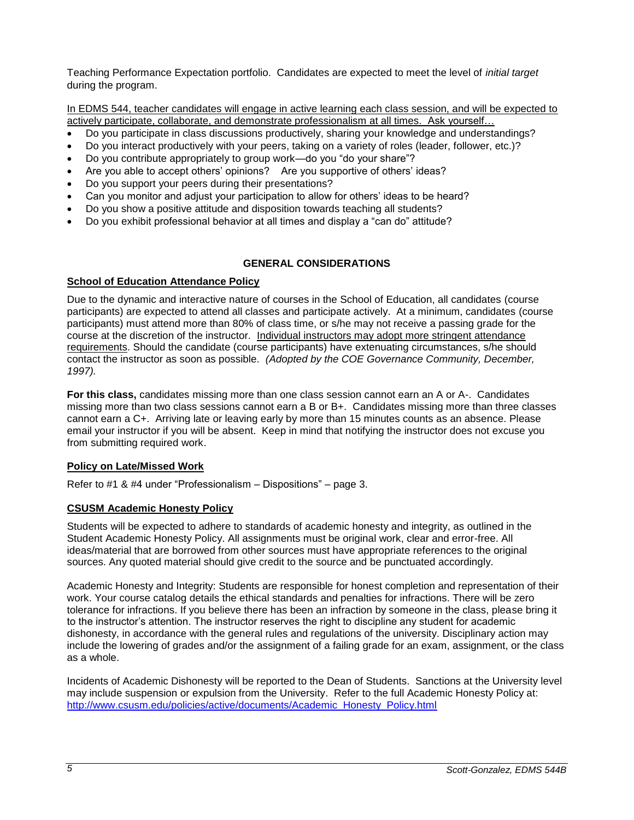Teaching Performance Expectation portfolio. Candidates are expected to meet the level of *initial target* during the program.

In EDMS 544, teacher candidates will engage in active learning each class session, and will be expected to actively participate, collaborate, and demonstrate professionalism at all times. Ask yourself…

- Do you participate in class discussions productively, sharing your knowledge and understandings?
- Do you interact productively with your peers, taking on a variety of roles (leader, follower, etc.)?
- Do you contribute appropriately to group work—do you "do your share"?
- Are you able to accept others' opinions? Are you supportive of others' ideas?
- Do you support your peers during their presentations?
- Can you monitor and adjust your participation to allow for others' ideas to be heard?
- Do you show a positive attitude and disposition towards teaching all students?
- Do you exhibit professional behavior at all times and display a "can do" attitude?

#### **GENERAL CONSIDERATIONS**

#### **School of Education Attendance Policy**

Due to the dynamic and interactive nature of courses in the School of Education, all candidates (course participants) are expected to attend all classes and participate actively. At a minimum, candidates (course participants) must attend more than 80% of class time, or s/he may not receive a passing grade for the course at the discretion of the instructor. Individual instructors may adopt more stringent attendance requirements. Should the candidate (course participants) have extenuating circumstances, s/he should contact the instructor as soon as possible. *(Adopted by the COE Governance Community, December, 1997).*

**For this class,** candidates missing more than one class session cannot earn an A or A-. Candidates missing more than two class sessions cannot earn a B or B+. Candidates missing more than three classes cannot earn a C+. Arriving late or leaving early by more than 15 minutes counts as an absence. Please email your instructor if you will be absent. Keep in mind that notifying the instructor does not excuse you from submitting required work.

#### **Policy on Late/Missed Work**

Refer to #1 & #4 under "Professionalism – Dispositions" – page 3.

#### **CSUSM Academic Honesty Policy**

Students will be expected to adhere to standards of academic honesty and integrity, as outlined in the Student Academic Honesty Policy. All assignments must be original work, clear and error-free. All ideas/material that are borrowed from other sources must have appropriate references to the original sources. Any quoted material should give credit to the source and be punctuated accordingly.

Academic Honesty and Integrity: Students are responsible for honest completion and representation of their work. Your course catalog details the ethical standards and penalties for infractions. There will be zero tolerance for infractions. If you believe there has been an infraction by someone in the class, please bring it to the instructor's attention. The instructor reserves the right to discipline any student for academic dishonesty, in accordance with the general rules and regulations of the university. Disciplinary action may include the lowering of grades and/or the assignment of a failing grade for an exam, assignment, or the class as a whole.

Incidents of Academic Dishonesty will be reported to the Dean of Students. Sanctions at the University level may include suspension or expulsion from the University. Refer to the full Academic Honesty Policy at: [http://www.csusm.edu/policies/active/documents/Academic\\_Honesty\\_Policy.html](http://www.csusm.edu/policies/active/documents/Academic_Honesty_Policy.html)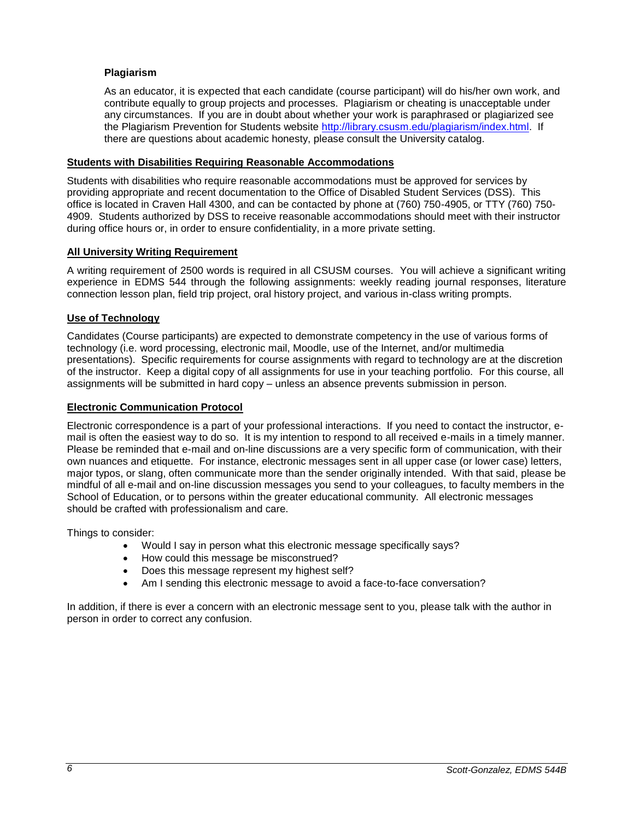### **Plagiarism**

As an educator, it is expected that each candidate (course participant) will do his/her own work, and contribute equally to group projects and processes. Plagiarism or cheating is unacceptable under any circumstances. If you are in doubt about whether your work is paraphrased or plagiarized see the Plagiarism Prevention for Students website [http://library.csusm.edu/plagiarism/index.html.](http://library.csusm.edu/plagiarism/index.html) If there are questions about academic honesty, please consult the University catalog.

#### **Students with Disabilities Requiring Reasonable Accommodations**

Students with disabilities who require reasonable accommodations must be approved for services by providing appropriate and recent documentation to the Office of Disabled Student Services (DSS). This office is located in Craven Hall 4300, and can be contacted by phone at (760) 750-4905, or TTY (760) 750- 4909. Students authorized by DSS to receive reasonable accommodations should meet with their instructor during office hours or, in order to ensure confidentiality, in a more private setting.

#### **All University Writing Requirement**

A writing requirement of 2500 words is required in all CSUSM courses. You will achieve a significant writing experience in EDMS 544 through the following assignments: weekly reading journal responses, literature connection lesson plan, field trip project, oral history project, and various in-class writing prompts.

#### **Use of Technology**

Candidates (Course participants) are expected to demonstrate competency in the use of various forms of technology (i.e. word processing, electronic mail, Moodle, use of the Internet, and/or multimedia presentations). Specific requirements for course assignments with regard to technology are at the discretion of the instructor. Keep a digital copy of all assignments for use in your teaching portfolio. For this course, all assignments will be submitted in hard copy – unless an absence prevents submission in person.

#### **Electronic Communication Protocol**

Electronic correspondence is a part of your professional interactions. If you need to contact the instructor, email is often the easiest way to do so. It is my intention to respond to all received e-mails in a timely manner. Please be reminded that e-mail and on-line discussions are a very specific form of communication, with their own nuances and etiquette. For instance, electronic messages sent in all upper case (or lower case) letters, major typos, or slang, often communicate more than the sender originally intended. With that said, please be mindful of all e-mail and on-line discussion messages you send to your colleagues, to faculty members in the School of Education, or to persons within the greater educational community. All electronic messages should be crafted with professionalism and care.

Things to consider:

- Would I say in person what this electronic message specifically says?
- How could this message be misconstrued?
- Does this message represent my highest self?
- Am I sending this electronic message to avoid a face-to-face conversation?

In addition, if there is ever a concern with an electronic message sent to you, please talk with the author in person in order to correct any confusion.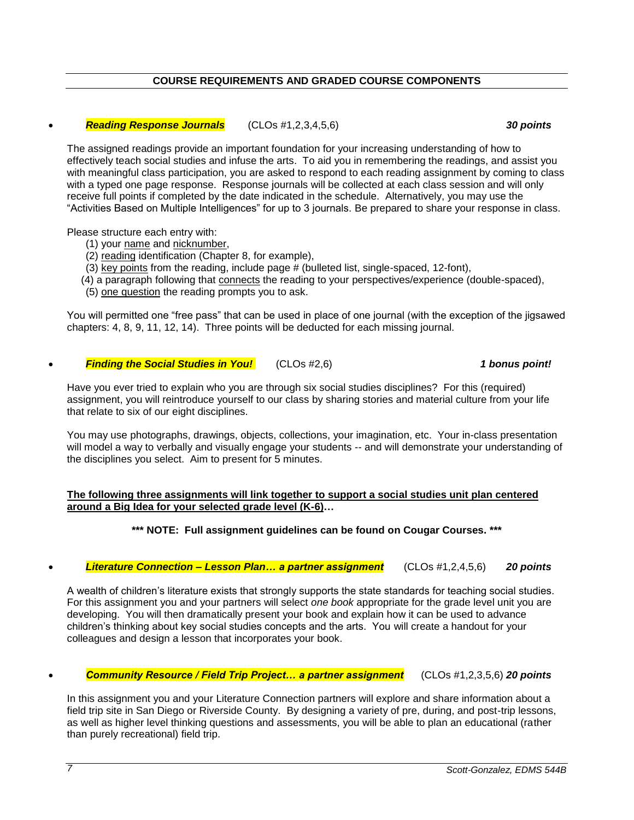### **COURSE REQUIREMENTS AND GRADED COURSE COMPONENTS**

### *Reading Response Journals* (CLOs #1,2,3,4,5,6) *30 points*

The assigned readings provide an important foundation for your increasing understanding of how to effectively teach social studies and infuse the arts. To aid you in remembering the readings, and assist you with meaningful class participation, you are asked to respond to each reading assignment by coming to class with a typed one page response. Response journals will be collected at each class session and will only receive full points if completed by the date indicated in the schedule. Alternatively, you may use the "Activities Based on Multiple Intelligences" for up to 3 journals. Be prepared to share your response in class.

Please structure each entry with:

- (1) your name and nicknumber,
- (2) reading identification (Chapter 8, for example),
- (3) key points from the reading, include page # (bulleted list, single-spaced, 12-font),
- (4) a paragraph following that connects the reading to your perspectives/experience (double-spaced),
- (5) one question the reading prompts you to ask.

You will permitted one "free pass" that can be used in place of one journal (with the exception of the jigsawed chapters: 4, 8, 9, 11, 12, 14). Three points will be deducted for each missing journal.

*Finding the Social Studies in You!* (CLOs #2,6) *1 bonus point!*

Have you ever tried to explain who you are through six social studies disciplines? For this (required) assignment, you will reintroduce yourself to our class by sharing stories and material culture from your life that relate to six of our eight disciplines.

You may use photographs, drawings, objects, collections, your imagination, etc. Your in-class presentation will model a way to verbally and visually engage your students -- and will demonstrate your understanding of the disciplines you select. Aim to present for 5 minutes.

#### **The following three assignments will link together to support a social studies unit plan centered around a Big Idea for your selected grade level (K-6)…**

**\*\*\* NOTE: Full assignment guidelines can be found on Cougar Courses. \*\*\***

# *Literature Connection – Lesson Plan… a partner assignment* (CLOs #1,2,4,5,6) *20 points*

A wealth of children's literature exists that strongly supports the state standards for teaching social studies. For this assignment you and your partners will select *one book* appropriate for the grade level unit you are developing. You will then dramatically present your book and explain how it can be used to advance children's thinking about key social studies concepts and the arts. You will create a handout for your colleagues and design a lesson that incorporates your book.

# *Community Resource / Field Trip Project… a partner assignment* (CLOs #1,2,3,5,6) *20 points*

In this assignment you and your Literature Connection partners will explore and share information about a field trip site in San Diego or Riverside County. By designing a variety of pre, during, and post-trip lessons, as well as higher level thinking questions and assessments, you will be able to plan an educational (rather than purely recreational) field trip.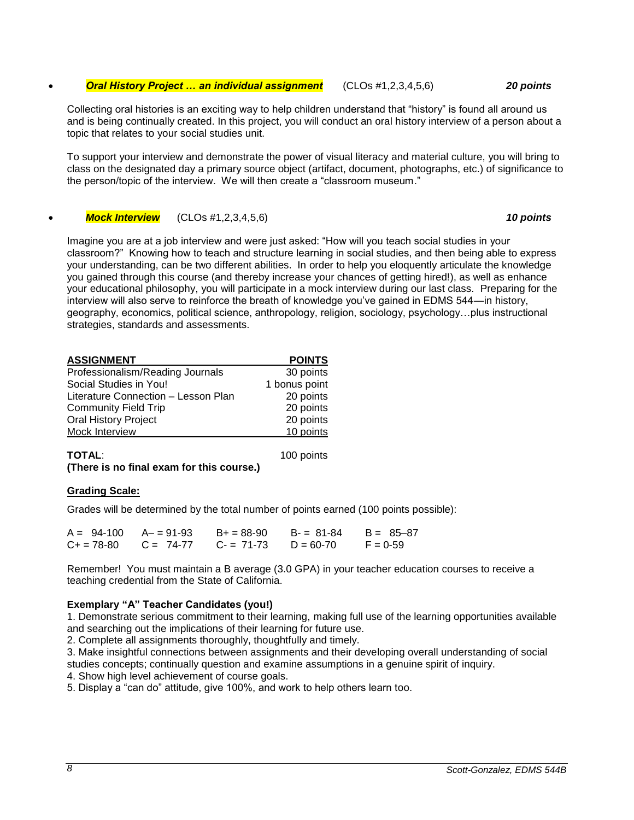#### *Oral History Project … an individual assignment* (CLOs #1,2,3,4,5,6) *20 points*

Collecting oral histories is an exciting way to help children understand that "history" is found all around us and is being continually created. In this project, you will conduct an oral history interview of a person about a topic that relates to your social studies unit.

To support your interview and demonstrate the power of visual literacy and material culture, you will bring to class on the designated day a primary source object (artifact, document, photographs, etc.) of significance to the person/topic of the interview. We will then create a "classroom museum."

*Mock Interview* (CLOs #1,2,3,4,5,6) *10 points*

Imagine you are at a job interview and were just asked: "How will you teach social studies in your classroom?" Knowing how to teach and structure learning in social studies, and then being able to express your understanding, can be two different abilities. In order to help you eloquently articulate the knowledge you gained through this course (and thereby increase your chances of getting hired!), as well as enhance your educational philosophy, you will participate in a mock interview during our last class. Preparing for the interview will also serve to reinforce the breath of knowledge you've gained in EDMS 544—in history, geography, economics, political science, anthropology, religion, sociology, psychology…plus instructional strategies, standards and assessments.

| <b>ASSIGNMENT</b>                   | <b>POINTS</b> |
|-------------------------------------|---------------|
| Professionalism/Reading Journals    | 30 points     |
| Social Studies in You!              | 1 bonus point |
| Literature Connection - Lesson Plan | 20 points     |
| <b>Community Field Trip</b>         | 20 points     |
| <b>Oral History Project</b>         | 20 points     |
| Mock Interview                      | 10 points     |

| <b>TOTAL:</b>                             | 100 points |
|-------------------------------------------|------------|
| (There is no final exam for this course.) |            |

#### **Grading Scale:**

Grades will be determined by the total number of points earned (100 points possible):

| $A = 94-100$ $A = 91-93$ $B = 88-90$ $B = 81-84$ $B = 85-87$ |  |            |
|--------------------------------------------------------------|--|------------|
| $C_+ = 78-80$ $C = 74-77$ $C_- = 71-73$ $D = 60-70$          |  | $F = 0.59$ |

Remember! You must maintain a B average (3.0 GPA) in your teacher education courses to receive a teaching credential from the State of California.

#### **Exemplary "A" Teacher Candidates (you!)**

1. Demonstrate serious commitment to their learning, making full use of the learning opportunities available and searching out the implications of their learning for future use.

2. Complete all assignments thoroughly, thoughtfully and timely.

3. Make insightful connections between assignments and their developing overall understanding of social studies concepts; continually question and examine assumptions in a genuine spirit of inquiry.

4. Show high level achievement of course goals.

5. Display a "can do" attitude, give 100%, and work to help others learn too.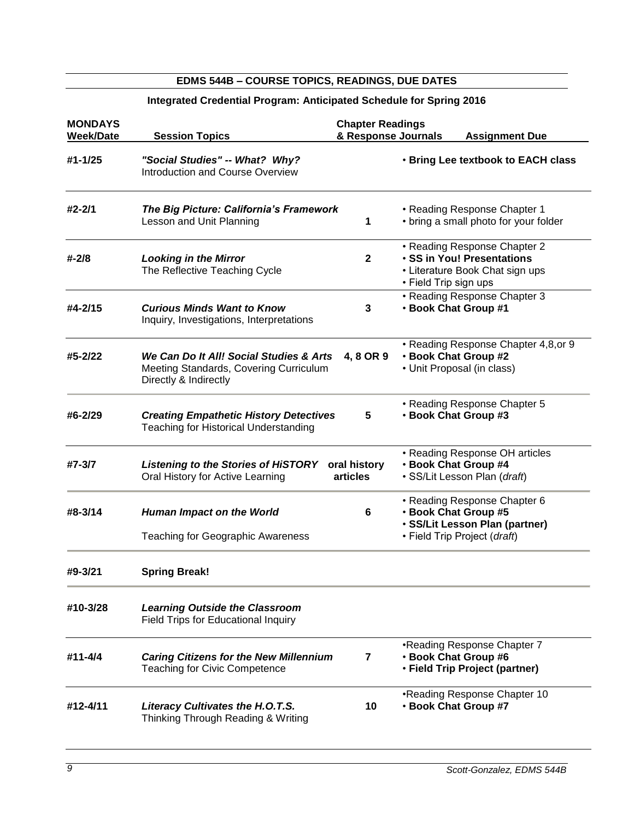# **MONDAYS Chapter Readings Week/Date Session Topics & Response Journals Assignment Due #1-1/25** *"Social Studies" -- What? Why?* • **Bring Lee textbook to EACH class** Introduction and Course Overview **#2-2/1** *The Big Picture: California's Framework* • Reading Response Chapter 1 Lesson and Unit Planning **1** • bring a small photo for your folder • Reading Response Chapter 2 **#-2/8** *Looking in the Mirror* **2** • **SS in You! Presentations** The Reflective Teaching Cycle **• Literature Book Chat sign ups** • Field Trip sign ups • Reading Response Chapter 3<br>• Book Chat Group #1 **#4-2/15** *Curious Minds Want to Know* **3** • **Book Chat Group #1** Inquiry, Investigations, Interpretations • Reading Response Chapter 4,8,or 9 **#5-2/22** *We Can Do It All! Social Studies & Arts* **4, 8 OR 9** • **Book Chat Group #2** Meeting Standards, Covering Curriculum • Unit Proposal (in class) Directly & Indirectly • Reading Response Chapter 5 **#6-2/29** *Creating Empathetic History Detectives* **5** • **Book Chat Group #3** Teaching for Historical Understanding • Reading Response OH articles **#7-3/7** *Listening to the Stories of HiSTORY* **oral history** • **Book Chat Group #4** Oral History for Active Learning **articles** • SS/Lit Lesson Plan (*draft*) • Reading Response Chapter 6 **#8-3/14** *Human Impact on the World* **6** • **Book Chat Group #5** • **SS/Lit Lesson Plan (partner)** Teaching for Geographic Awareness • Field Trip Project (*draft*) **#9-3/21 Spring Break! #10-3/28** *Learning Outside the Classroom* Field Trips for Educational Inquiry •Reading Response Chapter 7 **#11-4/4** *Caring Citizens for the New Millennium* **7** • **Book Chat Group #6** Teaching for Civic Competence • **Field Trip Project (partner)** •Reading Response Chapter 10 **#12-4/11** *Literacy Cultivates the H.O.T.S.* **10** • **Book Chat Group #7** Thinking Through Reading & Writing

**EDMS 544B – COURSE TOPICS, READINGS, DUE DATES Integrated Credential Program: Anticipated Schedule for Spring 2016**